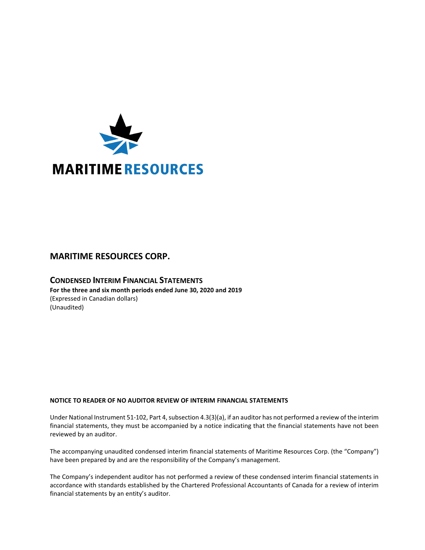

# **MARITIME RESOURCES CORP.**

# **CONDENSED INTERIM FINANCIAL STATEMENTS For the three and six month periods ended June 30, 2020 and 2019** (Expressed in Canadian dollars) (Unaudited)

# **NOTICE TO READER OF NO AUDITOR REVIEW OF INTERIM FINANCIAL STATEMENTS**

Under National Instrument 51-102, Part 4, subsection 4.3(3)(a), if an auditor has not performed a review of the interim financial statements, they must be accompanied by a notice indicating that the financial statements have not been reviewed by an auditor.

The accompanying unaudited condensed interim financial statements of Maritime Resources Corp. (the "Company") have been prepared by and are the responsibility of the Company's management.

The Company's independent auditor has not performed a review of these condensed interim financial statements in accordance with standards established by the Chartered Professional Accountants of Canada for a review of interim financial statements by an entity's auditor.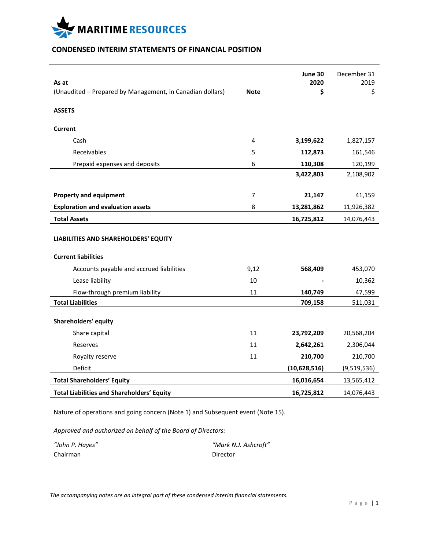

# **CONDENSED INTERIM STATEMENTS OF FINANCIAL POSITION**

|                                                                    |             | June 30      | December 31 |
|--------------------------------------------------------------------|-------------|--------------|-------------|
| As at<br>(Unaudited - Prepared by Management, in Canadian dollars) | <b>Note</b> | 2020<br>\$   | 2019<br>\$  |
|                                                                    |             |              |             |
| <b>ASSETS</b>                                                      |             |              |             |
| <b>Current</b>                                                     |             |              |             |
| Cash                                                               | 4           | 3,199,622    | 1,827,157   |
| Receivables                                                        | 5           | 112,873      | 161,546     |
| Prepaid expenses and deposits                                      | 6           | 110,308      | 120,199     |
|                                                                    |             | 3,422,803    | 2,108,902   |
|                                                                    |             |              |             |
| <b>Property and equipment</b>                                      | 7           | 21,147       | 41,159      |
| <b>Exploration and evaluation assets</b>                           | 8           | 13,281,862   | 11,926,382  |
| <b>Total Assets</b>                                                |             | 16,725,812   | 14,076,443  |
| LIABILITIES AND SHAREHOLDERS' EQUITY                               |             |              |             |
| <b>Current liabilities</b>                                         |             |              |             |
| Accounts payable and accrued liabilities                           | 9,12        | 568,409      | 453,070     |
| Lease liability                                                    | 10          |              | 10,362      |
| Flow-through premium liability                                     | 11          | 140,749      | 47,599      |
| <b>Total Liabilities</b>                                           |             | 709,158      | 511,031     |
| <b>Shareholders' equity</b>                                        |             |              |             |
| Share capital                                                      | 11          | 23,792,209   | 20,568,204  |
| Reserves                                                           | 11          | 2,642,261    | 2,306,044   |
| Royalty reserve                                                    | 11          | 210,700      | 210,700     |
| Deficit                                                            |             | (10,628,516) | (9,519,536) |
| <b>Total Shareholders' Equity</b>                                  |             | 16,016,654   | 13,565,412  |
| <b>Total Liabilities and Shareholders' Equity</b>                  |             | 16,725,812   | 14,076,443  |

Nature of operations and going concern (Note 1) and Subsequent event (Note 15).

*Approved and authorized on behalf of the Board of Directors:*

*"John P. Hayes" "Mark N.J. Ashcroft"* Chairman Director

*The accompanying notes are an integral part of these condensed interim financial statements.*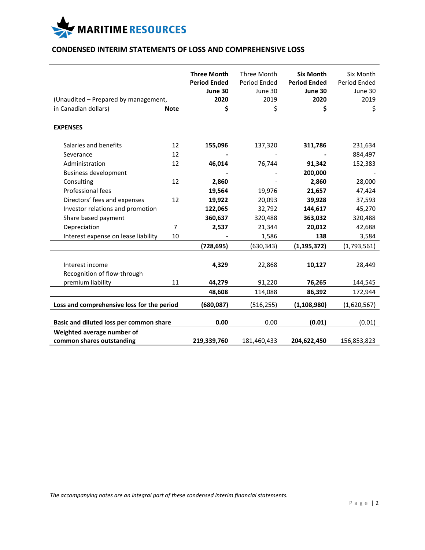

# **CONDENSED INTERIM STATEMENTS OF LOSS AND COMPREHENSIVE LOSS**

|                                            |             | <b>Three Month</b>  | Three Month  | <b>Six Month</b>    | Six Month    |
|--------------------------------------------|-------------|---------------------|--------------|---------------------|--------------|
|                                            |             | <b>Period Ended</b> | Period Ended | <b>Period Ended</b> | Period Ended |
|                                            |             | June 30             | June 30      | June 30             | June 30      |
| (Unaudited - Prepared by management,       |             | 2020                | 2019         | 2020                | 2019         |
| in Canadian dollars)                       | <b>Note</b> | \$                  | \$           | \$                  | \$           |
|                                            |             |                     |              |                     |              |
| <b>EXPENSES</b>                            |             |                     |              |                     |              |
|                                            |             |                     |              |                     |              |
| Salaries and benefits                      | 12          | 155,096             | 137,320      | 311,786             | 231,634      |
| Severance                                  | 12          |                     |              |                     | 884,497      |
| Administration                             | 12          | 46,014              | 76,744       | 91,342              | 152,383      |
| <b>Business development</b>                |             |                     |              | 200,000             |              |
| Consulting                                 | 12          | 2,860               |              | 2,860               | 28,000       |
| Professional fees                          |             | 19,564              | 19,976       | 21,657              | 47,424       |
| Directors' fees and expenses               | 12          | 19,922              | 20,093       | 39,928              | 37,593       |
| Investor relations and promotion           |             | 122,065             | 32,792       | 144,617             | 45,270       |
| Share based payment                        |             | 360,637             | 320,488      | 363,032             | 320,488      |
| Depreciation                               | 7           | 2,537               | 21,344       | 20,012              | 42,688       |
| Interest expense on lease liability        | 10          |                     | 1,586        | 138                 | 3,584        |
|                                            |             | (728, 695)          | (630, 343)   | (1, 195, 372)       | (1,793,561)  |
|                                            |             |                     |              |                     |              |
| Interest income                            |             | 4,329               | 22,868       | 10,127              | 28,449       |
| Recognition of flow-through                |             |                     |              |                     |              |
| premium liability                          | 11          | 44,279              | 91,220       | 76,265              | 144,545      |
|                                            |             | 48,608              | 114,088      | 86,392              | 172,944      |
| Loss and comprehensive loss for the period |             | (680,087)           | (516, 255)   | (1, 108, 980)       | (1,620,567)  |
|                                            |             |                     |              |                     |              |
| Basic and diluted loss per common share    |             | 0.00                | 0.00         | (0.01)              | (0.01)       |
| Weighted average number of                 |             |                     |              |                     |              |
| common shares outstanding                  |             | 219,339,760         | 181,460,433  | 204,622,450         | 156,853,823  |

*The accompanying notes are an integral part of these condensed interim financial statements.*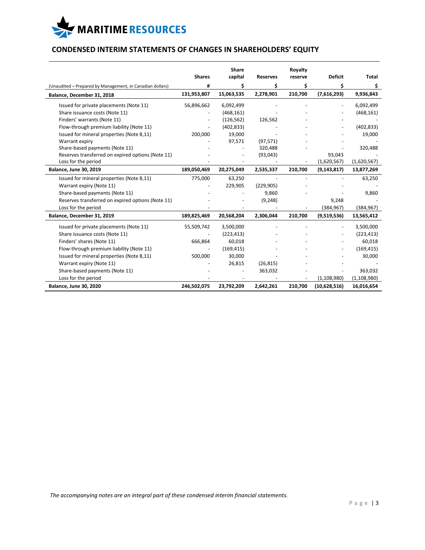

# **CONDENSED INTERIM STATEMENTS OF CHANGES IN SHAREHOLDERS' EQUITY**

|                                                           |               | Share      |                 | Royalty |                |               |
|-----------------------------------------------------------|---------------|------------|-----------------|---------|----------------|---------------|
|                                                           | <b>Shares</b> | capital    | <b>Reserves</b> | reserve | <b>Deficit</b> | Total         |
| (Unaudited - Prepared by Management, in Canadian dollars) | #             | Ś          | \$              | Ś       | Ś              | \$.           |
| Balance, December 31, 2018                                | 131,953,807   | 15,063,535 | 2,278,901       | 210,700 | (7,616,293)    | 9,936,843     |
| Issued for private placements (Note 11)                   | 56,896,662    | 6,092,499  |                 |         |                | 6,092,499     |
| Share issuance costs (Note 11)                            |               | (468, 161) |                 |         |                | (468, 161)    |
| Finders' warrants (Note 11)                               |               | (126, 562) | 126,562         |         |                |               |
| Flow-through premium liability (Note 11)                  |               | (402, 833) |                 |         |                | (402, 833)    |
| Issued for mineral properties (Note 8,11)                 | 200,000       | 19,000     |                 |         |                | 19,000        |
| Warrant expiry                                            |               | 97,571     | (97, 571)       |         |                |               |
| Share-based payments (Note 11)                            |               |            | 320,488         |         |                | 320,488       |
| Reserves transferred on expired options (Note 11)         |               |            | (93, 043)       |         | 93,043         |               |
| Loss for the period                                       |               |            |                 |         | (1,620,567)    | (1,620,567)   |
| <b>Balance, June 30, 2019</b>                             | 189,050,469   | 20,275,049 | 2,535,337       | 210,700 | (9, 143, 817)  | 13,877,269    |
| Issued for mineral properties (Note 8,11)                 | 775,000       | 63,250     |                 |         |                | 63,250        |
| Warrant expiry (Note 11)                                  |               | 229,905    | (229, 905)      |         |                |               |
| Share-based payments (Note 11)                            |               |            | 9,860           |         |                | 9,860         |
| Reserves transferred on expired options (Note 11)         |               |            | (9, 248)        |         | 9,248          |               |
| Loss for the period                                       |               |            |                 |         | (384, 967)     | (384, 967)    |
| Balance, December 31, 2019                                | 189,825,469   | 20,568,204 | 2,306,044       | 210,700 | (9,519,536)    | 13,565,412    |
| Issued for private placements (Note 11)                   | 55,509,742    | 3,500,000  |                 |         |                | 3,500,000     |
| Share issuance costs (Note 11)                            |               | (223, 413) |                 |         |                | (223, 413)    |
| Finders' shares (Note 11)                                 | 666,864       | 60,018     |                 |         |                | 60,018        |
| Flow-through premium liability (Note 11)                  |               | (169, 415) |                 |         |                | (169, 415)    |
| Issued for mineral properties (Note 8,11)                 | 500,000       | 30,000     |                 |         |                | 30,000        |
| Warrant expiry (Note 11)                                  |               | 26,815     | (26, 815)       |         |                |               |
| Share-based payments (Note 11)                            |               |            | 363,032         |         |                | 363,032       |
| Loss for the period                                       |               |            |                 |         | (1, 108, 980)  | (1, 108, 980) |
| <b>Balance, June 30, 2020</b>                             | 246,502,075   | 23,792,209 | 2,642,261       | 210,700 | (10,628,516)   | 16,016,654    |

*The accompanying notes are an integral part of these condensed interim financial statements.*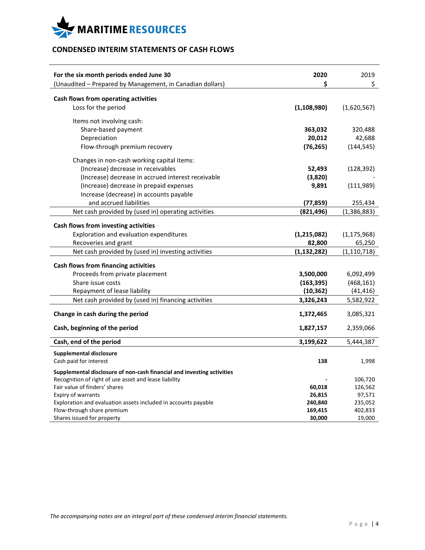

# **CONDENSED INTERIM STATEMENTS OF CASH FLOWS**

| For the six month periods ended June 30                                | 2020<br>\$    | 2019          |
|------------------------------------------------------------------------|---------------|---------------|
| (Unaudited - Prepared by Management, in Canadian dollars)              |               | \$            |
| Cash flows from operating activities                                   |               |               |
| Loss for the period                                                    | (1, 108, 980) | (1,620,567)   |
| Items not involving cash:                                              |               |               |
| Share-based payment                                                    | 363,032       | 320,488       |
| Depreciation                                                           | 20,012        | 42,688        |
| Flow-through premium recovery                                          | (76, 265)     | (144, 545)    |
|                                                                        |               |               |
| Changes in non-cash working capital items:                             |               |               |
| (Increase) decrease in receivables                                     | 52,493        | (128, 392)    |
| (Increase) decrease in accrued interest receivable                     | (3,820)       |               |
| (Increase) decrease in prepaid expenses                                | 9,891         | (111,989)     |
| Increase (decrease) in accounts payable                                |               |               |
| and accrued liabilities                                                | (77, 859)     | 255,434       |
| Net cash provided by (used in) operating activities                    | (821, 496)    | (1, 386, 883) |
|                                                                        |               |               |
| Cash flows from investing activities                                   |               |               |
| Exploration and evaluation expenditures                                | (1, 215, 082) | (1, 175, 968) |
| Recoveries and grant                                                   | 82,800        | 65,250        |
| Net cash provided by (used in) investing activities                    | (1, 132, 282) | (1, 110, 718) |
| Cash flows from financing activities                                   |               |               |
| Proceeds from private placement                                        | 3,500,000     | 6,092,499     |
| Share issue costs                                                      | (163, 395)    | (468, 161)    |
| Repayment of lease liability                                           | (10, 362)     | (41, 416)     |
| Net cash provided by (used in) financing activities                    | 3,326,243     | 5,582,922     |
|                                                                        |               |               |
| Change in cash during the period                                       | 1,372,465     | 3,085,321     |
| Cash, beginning of the period                                          | 1,827,157     | 2,359,066     |
|                                                                        |               |               |
| Cash, end of the period                                                | 3,199,622     | 5,444,387     |
| <b>Supplemental disclosure</b>                                         |               |               |
| Cash paid for interest                                                 | 138           | 1,998         |
| Supplemental disclosure of non-cash financial and investing activities |               |               |
| Recognition of right of use asset and lease liability                  |               | 106,720       |
| Fair value of finders' shares                                          | 60,018        | 126,562       |
| Expiry of warrants                                                     | 26,815        | 97,571        |
| Exploration and evaluation assets included in accounts payable         | 240,840       | 235,052       |
| Flow-through share premium                                             | 169,415       | 402,833       |
| Shares issued for property                                             | 30,000        | 19,000        |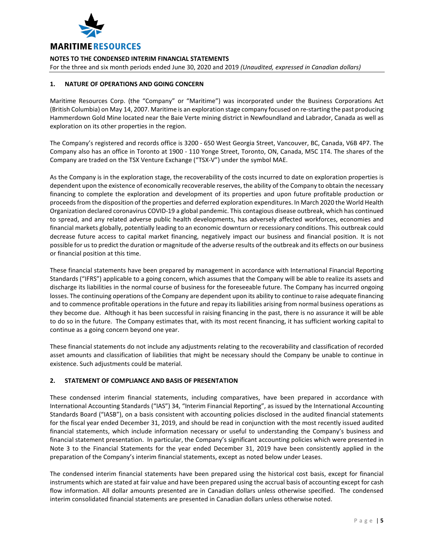

For the three and six month periods ended June 30, 2020 and 2019 *(Unaudited, expressed in Canadian dollars)*

## **1. NATURE OF OPERATIONS AND GOING CONCERN**

Maritime Resources Corp. (the "Company" or "Maritime") was incorporated under the Business Corporations Act (British Columbia) on May 14, 2007. Maritime is an exploration stage company focused on re-starting the past producing Hammerdown Gold Mine located near the Baie Verte mining district in Newfoundland and Labrador, Canada as well as exploration on its other properties in the region.

The Company's registered and records office is 3200 - 650 West Georgia Street, Vancouver, BC, Canada, V6B 4P7. The Company also has an office in Toronto at 1900 - 110 Yonge Street, Toronto, ON, Canada, M5C 1T4. The shares of the Company are traded on the TSX Venture Exchange ("TSX-V") under the symbol MAE.

As the Company is in the exploration stage, the recoverability of the costs incurred to date on exploration properties is dependent upon the existence of economically recoverable reserves, the ability of the Company to obtain the necessary financing to complete the exploration and development of its properties and upon future profitable production or proceeds from the disposition of the properties and deferred exploration expenditures. In March 2020 the World Health Organization declared coronavirus COVID-19 a global pandemic. This contagious disease outbreak, which has continued to spread, and any related adverse public health developments, has adversely affected workforces, economies and financial markets globally, potentially leading to an economic downturn or recessionary conditions. This outbreak could decrease future access to capital market financing, negatively impact our business and financial position. It is not possible for us to predict the duration or magnitude of the adverse results of the outbreak and its effects on our business or financial position at this time.

These financial statements have been prepared by management in accordance with International Financial Reporting Standards ("IFRS") applicable to a going concern, which assumes that the Company will be able to realize its assets and discharge its liabilities in the normal course of business for the foreseeable future. The Company has incurred ongoing losses. The continuing operations of the Company are dependent upon its ability to continue to raise adequate financing and to commence profitable operations in the future and repay its liabilities arising from normal business operations as they become due. Although it has been successful in raising financing in the past, there is no assurance it will be able to do so in the future. The Company estimates that, with its most recent financing, it has sufficient working capital to continue as a going concern beyond one year.

These financial statements do not include any adjustments relating to the recoverability and classification of recorded asset amounts and classification of liabilities that might be necessary should the Company be unable to continue in existence. Such adjustments could be material.

# **2. STATEMENT OF COMPLIANCE AND BASIS OF PRESENTATION**

These condensed interim financial statements, including comparatives, have been prepared in accordance with International Accounting Standards ("IAS") 34, "Interim Financial Reporting", as issued by the International Accounting Standards Board ("IASB"), on a basis consistent with accounting policies disclosed in the audited financial statements for the fiscal year ended December 31, 2019, and should be read in conjunction with the most recently issued audited financial statements, which include information necessary or useful to understanding the Company's business and financial statement presentation. In particular, the Company's significant accounting policies which were presented in Note 3 to the Financial Statements for the year ended December 31, 2019 have been consistently applied in the preparation of the Company's interim financial statements, except as noted below under Leases.

The condensed interim financial statements have been prepared using the historical cost basis, except for financial instruments which are stated at fair value and have been prepared using the accrual basis of accounting except for cash flow information. All dollar amounts presented are in Canadian dollars unless otherwise specified. The condensed interim consolidated financial statements are presented in Canadian dollars unless otherwise noted.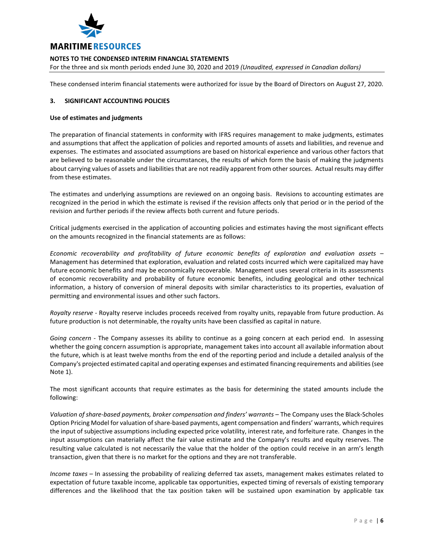

For the three and six month periods ended June 30, 2020 and 2019 *(Unaudited, expressed in Canadian dollars)*

These condensed interim financial statements were authorized for issue by the Board of Directors on August 27, 2020.

## **3. SIGNIFICANT ACCOUNTING POLICIES**

#### **Use of estimates and judgments**

The preparation of financial statements in conformity with IFRS requires management to make judgments, estimates and assumptions that affect the application of policies and reported amounts of assets and liabilities, and revenue and expenses. The estimates and associated assumptions are based on historical experience and various other factors that are believed to be reasonable under the circumstances, the results of which form the basis of making the judgments about carrying values of assets and liabilities that are not readily apparent from other sources. Actual results may differ from these estimates.

The estimates and underlying assumptions are reviewed on an ongoing basis. Revisions to accounting estimates are recognized in the period in which the estimate is revised if the revision affects only that period or in the period of the revision and further periods if the review affects both current and future periods.

Critical judgments exercised in the application of accounting policies and estimates having the most significant effects on the amounts recognized in the financial statements are as follows:

*Economic recoverability and profitability of future economic benefits of exploration and evaluation assets* – Management has determined that exploration, evaluation and related costs incurred which were capitalized may have future economic benefits and may be economically recoverable. Management uses several criteria in its assessments of economic recoverability and probability of future economic benefits, including geological and other technical information, a history of conversion of mineral deposits with similar characteristics to its properties, evaluation of permitting and environmental issues and other such factors.

*Royalty reserve* - Royalty reserve includes proceeds received from royalty units, repayable from future production. As future production is not determinable, the royalty units have been classified as capital in nature.

*Going concern* - The Company assesses its ability to continue as a going concern at each period end. In assessing whether the going concern assumption is appropriate, management takes into account all available information about the future, which is at least twelve months from the end of the reporting period and include a detailed analysis of the Company's projected estimated capital and operating expenses and estimated financing requirements and abilities (see Note 1).

The most significant accounts that require estimates as the basis for determining the stated amounts include the following:

*Valuation of share-based payments, broker compensation and finders' warrants* – The Company uses the Black-Scholes Option Pricing Model for valuation of share-based payments, agent compensation and finders' warrants, which requires the input of subjective assumptions including expected price volatility, interest rate, and forfeiture rate. Changes in the input assumptions can materially affect the fair value estimate and the Company's results and equity reserves. The resulting value calculated is not necessarily the value that the holder of the option could receive in an arm's length transaction, given that there is no market for the options and they are not transferable.

*Income taxes* – In assessing the probability of realizing deferred tax assets, management makes estimates related to expectation of future taxable income, applicable tax opportunities, expected timing of reversals of existing temporary differences and the likelihood that the tax position taken will be sustained upon examination by applicable tax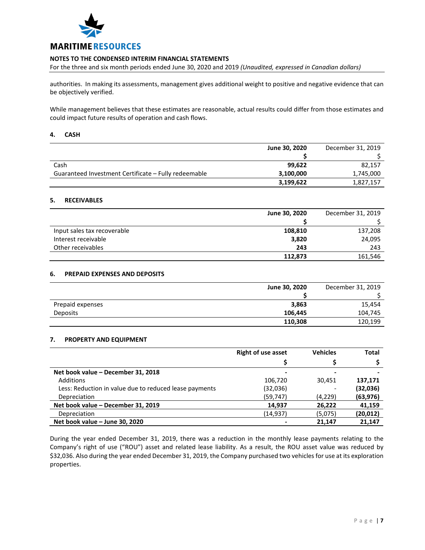

For the three and six month periods ended June 30, 2020 and 2019 *(Unaudited, expressed in Canadian dollars)*

authorities. In making its assessments, management gives additional weight to positive and negative evidence that can be objectively verified.

While management believes that these estimates are reasonable, actual results could differ from those estimates and could impact future results of operation and cash flows.

#### **4. CASH**

|                                                      | June 30, 2020 | December 31, 2019 |
|------------------------------------------------------|---------------|-------------------|
|                                                      |               |                   |
| Cash                                                 | 99.622        | 82,157            |
| Guaranteed Investment Certificate - Fully redeemable | 3,100,000     | 1,745,000         |
|                                                      | 3,199,622     | 1,827,157         |

## **5. RECEIVABLES**

|                             | June 30, 2020 | December 31, 2019 |
|-----------------------------|---------------|-------------------|
|                             |               |                   |
| Input sales tax recoverable | 108,810       | 137,208           |
| Interest receivable         | 3,820         | 24,095            |
| Other receivables           | 243           | 243               |
|                             | 112.873       | 161,546           |

## **6. PREPAID EXPENSES AND DEPOSITS**

|                  | June 30, 2020 | December 31, 2019 |
|------------------|---------------|-------------------|
|                  |               |                   |
| Prepaid expenses | 3,863         | 15,454            |
| <b>Deposits</b>  | 106,445       | 104,745           |
|                  | 110,308       | 120,199           |

## **7. PROPERTY AND EQUIPMENT**

|                                                        | <b>Right of use asset</b> | <b>Vehicles</b> | <b>Total</b> |
|--------------------------------------------------------|---------------------------|-----------------|--------------|
|                                                        |                           |                 |              |
| Net book value - December 31, 2018                     | -                         |                 |              |
| <b>Additions</b>                                       | 106,720                   | 30.451          | 137,171      |
| Less: Reduction in value due to reduced lease payments | (32,036)                  |                 | (32,036)     |
| Depreciation                                           | (59, 747)                 | (4,229)         | (63, 976)    |
| Net book value - December 31, 2019                     | 14,937                    | 26,222          | 41,159       |
| Depreciation                                           | (14, 937)                 | (5,075)         | (20, 012)    |
| Net book value - June 30, 2020                         |                           | 21.147          | 21.147       |

During the year ended December 31, 2019, there was a reduction in the monthly lease payments relating to the Company's right of use ("ROU") asset and related lease liability. As a result, the ROU asset value was reduced by \$32,036. Also during the year ended December 31, 2019, the Company purchased two vehicles for use at its exploration properties.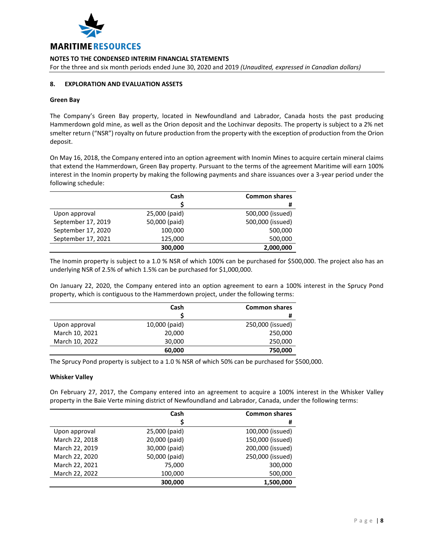

For the three and six month periods ended June 30, 2020 and 2019 *(Unaudited, expressed in Canadian dollars)*

## **8. EXPLORATION AND EVALUATION ASSETS**

#### **Green Bay**

The Company's Green Bay property, located in Newfoundland and Labrador, Canada hosts the past producing Hammerdown gold mine, as well as the Orion deposit and the Lochinvar deposits. The property is subject to a 2% net smelter return ("NSR") royalty on future production from the property with the exception of production from the Orion deposit.

On May 16, 2018, the Company entered into an option agreement with Inomin Mines to acquire certain mineral claims that extend the Hammerdown, Green Bay property. Pursuant to the terms of the agreement Maritime will earn 100% interest in the Inomin property by making the following payments and share issuances over a 3-year period under the following schedule:

|                    | Cash          | <b>Common shares</b> |
|--------------------|---------------|----------------------|
|                    |               | #                    |
| Upon approval      | 25,000 (paid) | 500,000 (issued)     |
| September 17, 2019 | 50,000 (paid) | 500,000 (issued)     |
| September 17, 2020 | 100,000       | 500,000              |
| September 17, 2021 | 125,000       | 500,000              |
|                    | 300,000       | 2,000,000            |

The Inomin property is subject to a 1.0 % NSR of which 100% can be purchased for \$500,000. The project also has an underlying NSR of 2.5% of which 1.5% can be purchased for \$1,000,000.

On January 22, 2020, the Company entered into an option agreement to earn a 100% interest in the Sprucy Pond property, which is contiguous to the Hammerdown project, under the following terms:

|                | Cash          | <b>Common shares</b> |
|----------------|---------------|----------------------|
|                |               | #                    |
| Upon approval  | 10,000 (paid) | 250,000 (issued)     |
| March 10, 2021 | 20,000        | 250,000              |
| March 10, 2022 | 30,000        | 250,000              |
|                | 60,000        | 750,000              |

The Sprucy Pond property is subject to a 1.0 % NSR of which 50% can be purchased for \$500,000.

## **Whisker Valley**

On February 27, 2017, the Company entered into an agreement to acquire a 100% interest in the Whisker Valley property in the Baie Verte mining district of Newfoundland and Labrador, Canada, under the following terms:

|                | Cash          | <b>Common shares</b> |
|----------------|---------------|----------------------|
|                |               | #                    |
| Upon approval  | 25,000 (paid) | 100,000 (issued)     |
| March 22, 2018 | 20,000 (paid) | 150,000 (issued)     |
| March 22, 2019 | 30,000 (paid) | 200,000 (issued)     |
| March 22, 2020 | 50,000 (paid) | 250,000 (issued)     |
| March 22, 2021 | 75,000        | 300,000              |
| March 22, 2022 | 100,000       | 500,000              |
|                | 300,000       | 1,500,000            |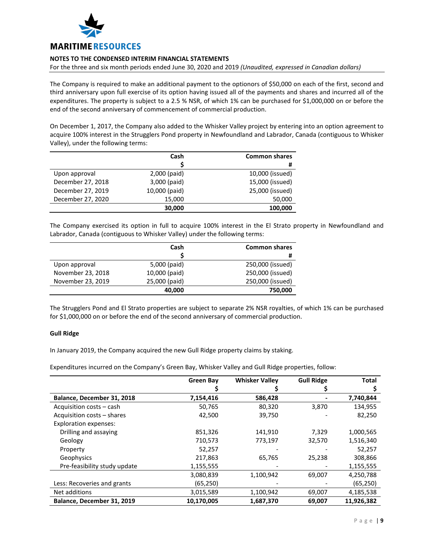

For the three and six month periods ended June 30, 2020 and 2019 *(Unaudited, expressed in Canadian dollars)*

The Company is required to make an additional payment to the optionors of \$50,000 on each of the first, second and third anniversary upon full exercise of its option having issued all of the payments and shares and incurred all of the expenditures. The property is subject to a 2.5 % NSR, of which 1% can be purchased for \$1,000,000 on or before the end of the second anniversary of commencement of commercial production.

On December 1, 2017, the Company also added to the Whisker Valley project by entering into an option agreement to acquire 100% interest in the Strugglers Pond property in Newfoundland and Labrador, Canada (contiguous to Whisker Valley), under the following terms:

|                   | Cash          | <b>Common shares</b> |
|-------------------|---------------|----------------------|
|                   |               | #                    |
| Upon approval     | 2,000 (paid)  | 10,000 (issued)      |
| December 27, 2018 | 3,000 (paid)  | 15,000 (issued)      |
| December 27, 2019 | 10,000 (paid) | 25,000 (issued)      |
| December 27, 2020 | 15,000        | 50,000               |
|                   | 30,000        | 100,000              |

The Company exercised its option in full to acquire 100% interest in the El Strato property in Newfoundland and Labrador, Canada (contiguous to Whisker Valley) under the following terms:

|                   | Cash          | <b>Common shares</b> |
|-------------------|---------------|----------------------|
|                   |               | #                    |
| Upon approval     | 5,000 (paid)  | 250,000 (issued)     |
| November 23, 2018 | 10,000 (paid) | 250,000 (issued)     |
| November 23, 2019 | 25,000 (paid) | 250,000 (issued)     |
|                   | 40,000        | 750,000              |

The Strugglers Pond and El Strato properties are subject to separate 2% NSR royalties, of which 1% can be purchased for \$1,000,000 on or before the end of the second anniversary of commercial production.

## **Gull Ridge**

In January 2019, the Company acquired the new Gull Ridge property claims by staking.

Expenditures incurred on the Company's Green Bay, Whisker Valley and Gull Ridge properties, follow:

|                              | Green Bay  | <b>Whisker Valley</b> | <b>Gull Ridge</b> | <b>Total</b> |
|------------------------------|------------|-----------------------|-------------------|--------------|
|                              |            |                       |                   |              |
| Balance, December 31, 2018   | 7,154,416  | 586,428               |                   | 7,740,844    |
| Acquisition costs - cash     | 50,765     | 80,320                | 3,870             | 134,955      |
| Acquisition costs - shares   | 42,500     | 39,750                |                   | 82,250       |
| <b>Exploration expenses:</b> |            |                       |                   |              |
| Drilling and assaying        | 851,326    | 141,910               | 7.329             | 1,000,565    |
| Geology                      | 710,573    | 773,197               | 32,570            | 1,516,340    |
| Property                     | 52,257     |                       |                   | 52,257       |
| Geophysics                   | 217,863    | 65,765                | 25,238            | 308,866      |
| Pre-feasibility study update | 1,155,555  |                       |                   | 1,155,555    |
|                              | 3,080,839  | 1,100,942             | 69,007            | 4,250,788    |
| Less: Recoveries and grants  | (65,250)   |                       |                   | (65, 250)    |
| Net additions                | 3,015,589  | 1,100,942             | 69,007            | 4,185,538    |
| Balance, December 31, 2019   | 10,170,005 | 1,687,370             | 69,007            | 11,926,382   |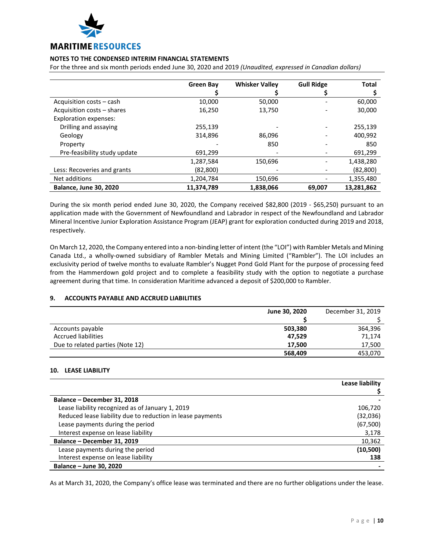

For the three and six month periods ended June 30, 2020 and 2019 *(Unaudited, expressed in Canadian dollars)*

|                               | <b>Green Bay</b> | <b>Whisker Valley</b> | <b>Gull Ridge</b> | <b>Total</b> |
|-------------------------------|------------------|-----------------------|-------------------|--------------|
|                               |                  |                       |                   |              |
| Acquisition costs – cash      | 10,000           | 50,000                |                   | 60,000       |
| Acquisition costs - shares    | 16,250           | 13,750                |                   | 30,000       |
| <b>Exploration expenses:</b>  |                  |                       |                   |              |
| Drilling and assaying         | 255,139          |                       |                   | 255,139      |
| Geology                       | 314,896          | 86.096                |                   | 400,992      |
| Property                      |                  | 850                   |                   | 850          |
| Pre-feasibility study update  | 691,299          |                       |                   | 691,299      |
|                               | 1,287,584        | 150,696               |                   | 1,438,280    |
| Less: Recoveries and grants   | (82, 800)        |                       |                   | (82, 800)    |
| Net additions                 | 1,204,784        | 150.696               |                   | 1,355,480    |
| <b>Balance, June 30, 2020</b> | 11,374,789       | 1,838,066             | 69,007            | 13,281,862   |

During the six month period ended June 30, 2020, the Company received \$82,800 (2019 - \$65,250) pursuant to an application made with the Government of Newfoundland and Labrador in respect of the Newfoundland and Labrador Mineral Incentive Junior Exploration Assistance Program (JEAP) grant for exploration conducted during 2019 and 2018, respectively.

On March 12, 2020, the Company entered into a non-binding letter of intent (the "LOI") with Rambler Metals and Mining Canada Ltd., a wholly-owned subsidiary of Rambler Metals and Mining Limited ("Rambler"). The LOI includes an exclusivity period of twelve months to evaluate Rambler's Nugget Pond Gold Plant for the purpose of processing feed from the Hammerdown gold project and to complete a feasibility study with the option to negotiate a purchase agreement during that time. In consideration Maritime advanced a deposit of \$200,000 to Rambler.

## **9. ACCOUNTS PAYABLE AND ACCRUED LIABILITIES**

|                                  | June 30, 2020 | December 31, 2019 |
|----------------------------------|---------------|-------------------|
|                                  |               |                   |
| Accounts payable                 | 503,380       | 364,396           |
| <b>Accrued liabilities</b>       | 47.529        | 71.174            |
| Due to related parties (Note 12) | 17.500        | 17,500            |
|                                  | 568,409       | 453,070           |

## **10. LEASE LIABILITY**

|                                                            | Lease liability |
|------------------------------------------------------------|-----------------|
|                                                            |                 |
| Balance - December 31, 2018                                |                 |
| Lease liability recognized as of January 1, 2019           | 106,720         |
| Reduced lease liability due to reduction in lease payments | (32,036)        |
| Lease payments during the period                           | (67, 500)       |
| Interest expense on lease liability                        | 3,178           |
| Balance - December 31, 2019                                | 10,362          |
| Lease payments during the period                           | (10,500)        |
| Interest expense on lease liability                        | 138             |
| Balance - June 30, 2020                                    |                 |

As at March 31, 2020, the Company's office lease was terminated and there are no further obligations under the lease.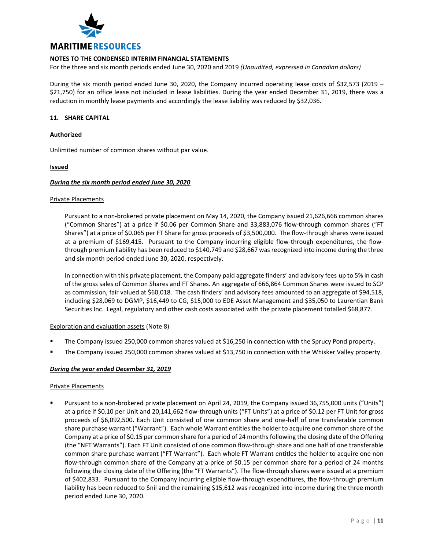

For the three and six month periods ended June 30, 2020 and 2019 *(Unaudited, expressed in Canadian dollars)*

During the six month period ended June 30, 2020, the Company incurred operating lease costs of \$32,573 (2019 – \$21,750) for an office lease not included in lease liabilities. During the year ended December 31, 2019, there was a reduction in monthly lease payments and accordingly the lease liability was reduced by \$32,036.

## **11. SHARE CAPITAL**

## **Authorized**

Unlimited number of common shares without par value.

## **Issued**

## *During the six month period ended June 30, 2020*

## Private Placements

Pursuant to a non-brokered private placement on May 14, 2020, the Company issued 21,626,666 common shares ("Common Shares") at a price if \$0.06 per Common Share and 33,883,076 flow-through common shares ("FT Shares") at a price of \$0.065 per FT Share for gross proceeds of \$3,500,000. The flow-through shares were issued at a premium of \$169,415. Pursuant to the Company incurring eligible flow-through expenditures, the flowthrough premium liability has been reduced to \$140,749 and \$28,667 was recognized into income during the three and six month period ended June 30, 2020, respectively.

In connection with this private placement, the Company paid aggregate finders' and advisory fees up to 5% in cash of the gross sales of Common Shares and FT Shares. An aggregate of 666,864 Common Shares were issued to SCP as commission, fair valued at \$60,018. The cash finders' and advisory fees amounted to an aggregate of \$94,518, including \$28,069 to DGMP, \$16,449 to CG, \$15,000 to EDE Asset Management and \$35,050 to Laurentian Bank Securities Inc. Legal, regulatory and other cash costs associated with the private placement totalled \$68,877.

## Exploration and evaluation assets (Note 8)

- The Company issued 250,000 common shares valued at \$16,250 in connection with the Sprucy Pond property.
- The Company issued 250,000 common shares valued at \$13,750 in connection with the Whisker Valley property.

# *During the year ended December 31, 2019*

## Private Placements

 Pursuant to a non-brokered private placement on April 24, 2019, the Company issued 36,755,000 units ("Units") at a price if \$0.10 per Unit and 20,141,662 flow-through units ("FT Units") at a price of \$0.12 per FT Unit for gross proceeds of \$6,092,500. Each Unit consisted of one common share and one-half of one transferable common share purchase warrant ("Warrant"). Each whole Warrant entitles the holder to acquire one common share of the Company at a price of \$0.15 per common share for a period of 24 months following the closing date of the Offering (the "NFT Warrants"). Each FT Unit consisted of one common flow-through share and one half of one transferable common share purchase warrant ("FT Warrant"). Each whole FT Warrant entitles the holder to acquire one non flow-through common share of the Company at a price of \$0.15 per common share for a period of 24 months following the closing date of the Offering (the "FT Warrants"). The flow-through shares were issued at a premium of \$402,833. Pursuant to the Company incurring eligible flow-through expenditures, the flow-through premium liability has been reduced to \$nil and the remaining \$15,612 was recognized into income during the three month period ended June 30, 2020.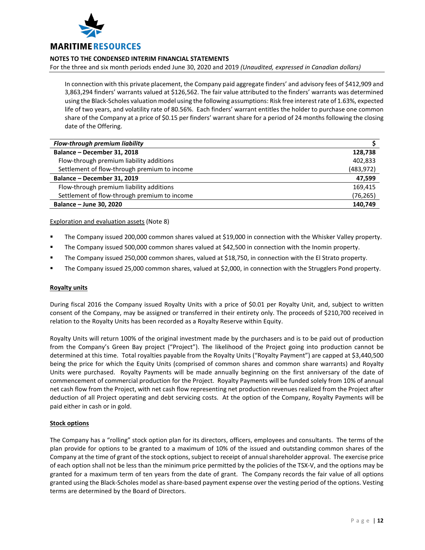

For the three and six month periods ended June 30, 2020 and 2019 *(Unaudited, expressed in Canadian dollars)*

In connection with this private placement, the Company paid aggregate finders' and advisory fees of \$412,909 and 3,863,294 finders' warrants valued at \$126,562. The fair value attributed to the finders' warrants was determined using the Black-Scholes valuation model using the following assumptions: Risk free interest rate of 1.63%, expected life of two years, and volatility rate of 80.56%. Each finders' warrant entitles the holder to purchase one common share of the Company at a price of \$0.15 per finders' warrant share for a period of 24 months following the closing date of the Offering.

| Flow-through premium liability               |            |
|----------------------------------------------|------------|
| Balance - December 31, 2018                  | 128,738    |
| Flow-through premium liability additions     | 402,833    |
| Settlement of flow-through premium to income | (483, 972) |
| Balance - December 31, 2019                  | 47,599     |
| Flow-through premium liability additions     | 169,415    |
| Settlement of flow-through premium to income | (76,265)   |
| Balance - June 30, 2020                      | 140,749    |

Exploration and evaluation assets (Note 8)

- The Company issued 200,000 common shares valued at \$19,000 in connection with the Whisker Valley property.
- The Company issued 500,000 common shares valued at \$42,500 in connection with the Inomin property.
- The Company issued 250,000 common shares, valued at \$18,750, in connection with the El Strato property.
- The Company issued 25,000 common shares, valued at \$2,000, in connection with the Strugglers Pond property.

## **Royalty units**

During fiscal 2016 the Company issued Royalty Units with a price of \$0.01 per Royalty Unit, and, subject to written consent of the Company, may be assigned or transferred in their entirety only. The proceeds of \$210,700 received in relation to the Royalty Units has been recorded as a Royalty Reserve within Equity.

Royalty Units will return 100% of the original investment made by the purchasers and is to be paid out of production from the Company's Green Bay project ("Project"). The likelihood of the Project going into production cannot be determined at this time. Total royalties payable from the Royalty Units ("Royalty Payment") are capped at \$3,440,500 being the price for which the Equity Units (comprised of common shares and common share warrants) and Royalty Units were purchased. Royalty Payments will be made annually beginning on the first anniversary of the date of commencement of commercial production for the Project. Royalty Payments will be funded solely from 10% of annual net cash flow from the Project, with net cash flow representing net production revenues realized from the Project after deduction of all Project operating and debt servicing costs. At the option of the Company, Royalty Payments will be paid either in cash or in gold.

# **Stock options**

The Company has a "rolling" stock option plan for its directors, officers, employees and consultants. The terms of the plan provide for options to be granted to a maximum of 10% of the issued and outstanding common shares of the Company at the time of grant of the stock options, subject to receipt of annual shareholder approval. The exercise price of each option shall not be less than the minimum price permitted by the policies of the TSX-V, and the options may be granted for a maximum term of ten years from the date of grant. The Company records the fair value of all options granted using the Black-Scholes model as share-based payment expense over the vesting period of the options. Vesting terms are determined by the Board of Directors.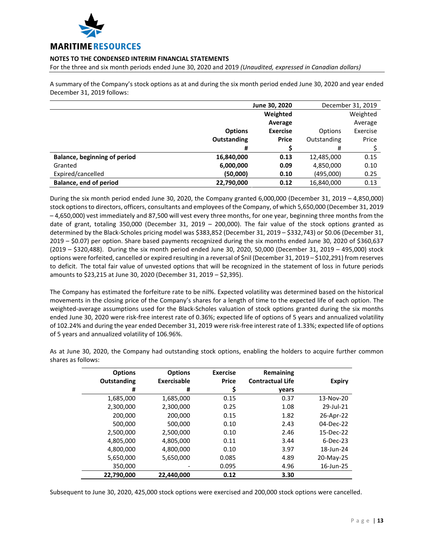

For the three and six month periods ended June 30, 2020 and 2019 *(Unaudited, expressed in Canadian dollars)*

A summary of the Company's stock options as at and during the six month period ended June 30, 2020 and year ended December 31, 2019 follows:

|                                     | June 30, 2020      |                 | December 31, 2019 |          |
|-------------------------------------|--------------------|-----------------|-------------------|----------|
|                                     |                    | Weighted        |                   | Weighted |
|                                     |                    | Average         |                   | Average  |
|                                     | <b>Options</b>     | <b>Exercise</b> | Options           | Exercise |
|                                     | <b>Outstanding</b> | <b>Price</b>    | Outstanding       | Price    |
|                                     | #                  |                 | #                 |          |
| <b>Balance, beginning of period</b> | 16,840,000         | 0.13            | 12,485,000        | 0.15     |
| Granted                             | 6,000,000          | 0.09            | 4,850,000         | 0.10     |
| Expired/cancelled                   | (50,000)           | 0.10            | (495,000)         | 0.25     |
| <b>Balance, end of period</b>       | 22,790,000         | 0.12            | 16,840,000        | 0.13     |

During the six month period ended June 30, 2020, the Company granted 6,000,000 (December 31, 2019 – 4,850,000) stock options to directors, officers, consultants and employees of the Company, of which 5,650,000 (December 31, 2019 – 4,650,000) vest immediately and 87,500 will vest every three months, for one year, beginning three months from the date of grant, totaling 350,000 (December 31, 2019 – 200,000). The fair value of the stock options granted as determined by the Black-Scholes pricing model was \$383,852 (December 31, 2019 – \$332,743) or \$0.06 (December 31, 2019 – \$0.07) per option. Share based payments recognized during the six months ended June 30, 2020 of \$360,637 (2019 – \$320,488). During the six month period ended June 30, 2020, 50,000 (December 31, 2019 – 495,000) stock options were forfeited, cancelled or expired resulting in a reversal of \$nil (December 31, 2019 – \$102,291) from reserves to deficit. The total fair value of unvested options that will be recognized in the statement of loss in future periods amounts to \$23,215 at June 30, 2020 (December 31, 2019 – \$2,395).

The Company has estimated the forfeiture rate to be nil%. Expected volatility was determined based on the historical movements in the closing price of the Company's shares for a length of time to the expected life of each option. The weighted-average assumptions used for the Black-Scholes valuation of stock options granted during the six months ended June 30, 2020 were risk-free interest rate of 0.36%; expected life of options of 5 years and annualized volatility of 102.24% and during the year ended December 31, 2019 were risk-free interest rate of 1.33%; expected life of options of 5 years and annualized volatility of 106.96%.

| <b>Options</b> | <b>Options</b> | <b>Exercise</b> | Remaining               |               |
|----------------|----------------|-----------------|-------------------------|---------------|
| Outstanding    | Exercisable    | <b>Price</b>    | <b>Contractual Life</b> | <b>Expiry</b> |
| #              | #              |                 | years                   |               |
| 1,685,000      | 1,685,000      | 0.15            | 0.37                    | 13-Nov-20     |
| 2,300,000      | 2,300,000      | 0.25            | 1.08                    | 29-Jul-21     |
| 200,000        | 200,000        | 0.15            | 1.82                    | 26-Apr-22     |
| 500,000        | 500,000        | 0.10            | 2.43                    | 04-Dec-22     |
| 2,500,000      | 2,500,000      | 0.10            | 2.46                    | 15-Dec-22     |
| 4,805,000      | 4,805,000      | 0.11            | 3.44                    | $6$ -Dec-23   |
| 4,800,000      | 4,800,000      | 0.10            | 3.97                    | 18-Jun-24     |
| 5,650,000      | 5,650,000      | 0.085           | 4.89                    | 20-May-25     |
| 350,000        |                | 0.095           | 4.96                    | 16-Jun-25     |
| 22,790,000     | 22.440.000     | 0.12            | 3.30                    |               |

As at June 30, 2020, the Company had outstanding stock options, enabling the holders to acquire further common shares as follows:

Subsequent to June 30, 2020, 425,000 stock options were exercised and 200,000 stock options were cancelled.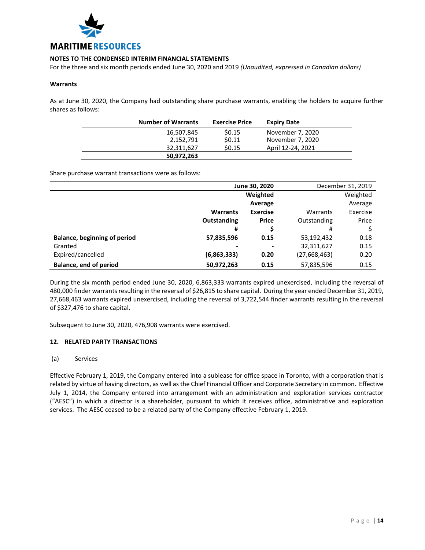

For the three and six month periods ended June 30, 2020 and 2019 *(Unaudited, expressed in Canadian dollars)*

## **Warrants**

As at June 30, 2020, the Company had outstanding share purchase warrants, enabling the holders to acquire further shares as follows:

| <b>Number of Warrants</b> | <b>Exercise Price</b> | <b>Expiry Date</b> |
|---------------------------|-----------------------|--------------------|
| 16,507,845                | \$0.15                | November 7, 2020   |
| 2,152,791                 | \$0.11                | November 7, 2020   |
| 32,311,627                | \$0.15                | April 12-24, 2021  |
| 50,972,263                |                       |                    |

Share purchase warrant transactions were as follows:

|                                     | June 30, 2020   |                 |              | December 31, 2019 |
|-------------------------------------|-----------------|-----------------|--------------|-------------------|
|                                     | Weighted        |                 |              | Weighted          |
|                                     |                 | Average         |              | Average           |
|                                     | <b>Warrants</b> | <b>Exercise</b> | Warrants     | Exercise          |
|                                     | Outstanding     | <b>Price</b>    | Outstanding  | Price             |
|                                     | #               |                 | #            |                   |
| <b>Balance, beginning of period</b> | 57,835,596      | 0.15            | 53,192,432   | 0.18              |
| Granted                             |                 |                 | 32,311,627   | 0.15              |
| Expired/cancelled                   | (6,863,333)     | 0.20            | (27,668,463) | 0.20              |
| <b>Balance, end of period</b>       | 50,972,263      | 0.15            | 57,835,596   | 0.15              |

During the six month period ended June 30, 2020, 6,863,333 warrants expired unexercised, including the reversal of 480,000 finder warrants resulting in the reversal of \$26,815 to share capital. During the year ended December 31, 2019, 27,668,463 warrants expired unexercised, including the reversal of 3,722,544 finder warrants resulting in the reversal of \$327,476 to share capital.

Subsequent to June 30, 2020, 476,908 warrants were exercised.

## **12. RELATED PARTY TRANSACTIONS**

## (a) Services

Effective February 1, 2019, the Company entered into a sublease for office space in Toronto, with a corporation that is related by virtue of having directors, as well as the Chief Financial Officer and Corporate Secretary in common. Effective July 1, 2014, the Company entered into arrangement with an administration and exploration services contractor ("AESC") in which a director is a shareholder, pursuant to which it receives office, administrative and exploration services. The AESC ceased to be a related party of the Company effective February 1, 2019.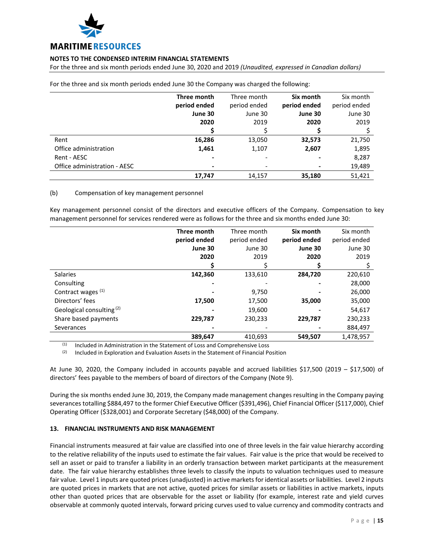

For the three and six month periods ended June 30, 2020 and 2019 *(Unaudited, expressed in Canadian dollars)*

|                              | Three month  | Three month  | Six month      | Six month    |
|------------------------------|--------------|--------------|----------------|--------------|
|                              | period ended | period ended | period ended   | period ended |
|                              | June 30      | June 30      | June 30        | June 30      |
|                              | 2020         | 2019         | 2020           | 2019         |
|                              |              |              |                |              |
| Rent                         | 16,286       | 13,050       | 32,573         | 21,750       |
| Office administration        | 1,461        | 1,107        | 2,607          | 1,895        |
| Rent - AESC                  | ۰            |              | $\blacksquare$ | 8,287        |
| Office administration - AESC |              |              |                | 19,489       |
|                              | 17,747       | 14,157       | 35,180         | 51,421       |

For the three and six month periods ended June 30 the Company was charged the following:

## (b) Compensation of key management personnel

Key management personnel consist of the directors and executive officers of the Company. Compensation to key management personnel for services rendered were as follows for the three and six months ended June 30:

|                                      | Three month  | Three month  | Six month    | Six month    |
|--------------------------------------|--------------|--------------|--------------|--------------|
|                                      | period ended | period ended | period ended | period ended |
|                                      | June 30      | June 30      | June 30      | June 30      |
|                                      | 2020         | 2019         | 2020         | 2019         |
|                                      |              |              |              |              |
| <b>Salaries</b>                      | 142,360      | 133,610      | 284,720      | 220,610      |
| Consulting                           |              |              |              | 28,000       |
| Contract wages (1)                   |              | 9,750        |              | 26,000       |
| Directors' fees                      | 17,500       | 17,500       | 35,000       | 35,000       |
| Geological consulting <sup>(2)</sup> |              | 19,600       |              | 54,617       |
| Share based payments                 | 229,787      | 230,233      | 229,787      | 230,233      |
| Severances                           |              |              |              | 884,497      |
|                                      | 389,647      | 410.693      | 549,507      | 1,478,957    |

 $(1)$  Included in Administration in the Statement of Loss and Comprehensive Loss

 $(2)$  Included in Exploration and Evaluation Assets in the Statement of Financial Position

At June 30, 2020, the Company included in accounts payable and accrued liabilities \$17,500 (2019 – \$17,500) of directors' fees payable to the members of board of directors of the Company (Note 9).

During the six months ended June 30, 2019, the Company made management changes resulting in the Company paying severances totalling \$884,497 to the former Chief Executive Officer (\$391,496), Chief Financial Officer (\$117,000), Chief Operating Officer (\$328,001) and Corporate Secretary (\$48,000) of the Company.

## **13. FINANCIAL INSTRUMENTS AND RISK MANAGEMENT**

Financial instruments measured at fair value are classified into one of three levels in the fair value hierarchy according to the relative reliability of the inputs used to estimate the fair values. Fair value is the price that would be received to sell an asset or paid to transfer a liability in an orderly transaction between market participants at the measurement date. The fair value hierarchy establishes three levels to classify the inputs to valuation techniques used to measure fair value. Level 1 inputs are quoted prices (unadjusted) in active markets for identical assets or liabilities. Level 2 inputs are quoted prices in markets that are not active, quoted prices for similar assets or liabilities in active markets, inputs other than quoted prices that are observable for the asset or liability (for example, interest rate and yield curves observable at commonly quoted intervals, forward pricing curves used to value currency and commodity contracts and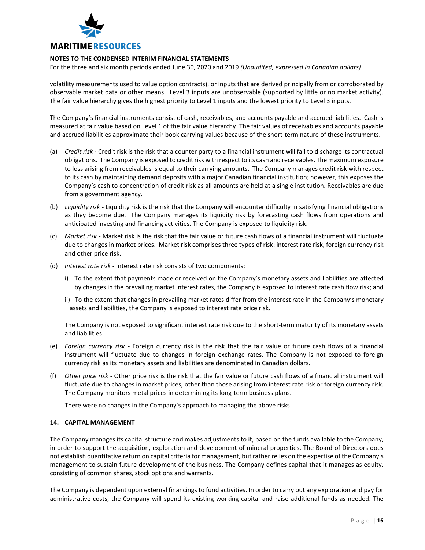

For the three and six month periods ended June 30, 2020 and 2019 *(Unaudited, expressed in Canadian dollars)*

volatility measurements used to value option contracts), or inputs that are derived principally from or corroborated by observable market data or other means. Level 3 inputs are unobservable (supported by little or no market activity). The fair value hierarchy gives the highest priority to Level 1 inputs and the lowest priority to Level 3 inputs.

The Company's financial instruments consist of cash, receivables, and accounts payable and accrued liabilities. Cash is measured at fair value based on Level 1 of the fair value hierarchy. The fair values of receivables and accounts payable and accrued liabilities approximate their book carrying values because of the short-term nature of these instruments.

- (a) *Credit risk* Credit risk is the risk that a counter party to a financial instrument will fail to discharge its contractual obligations. The Company is exposed to credit risk with respect to its cash and receivables. The maximum exposure to loss arising from receivables is equal to their carrying amounts. The Company manages credit risk with respect to its cash by maintaining demand deposits with a major Canadian financial institution; however, this exposes the Company's cash to concentration of credit risk as all amounts are held at a single institution. Receivables are due from a government agency.
- (b) *Liquidity risk* Liquidity risk is the risk that the Company will encounter difficulty in satisfying financial obligations as they become due. The Company manages its liquidity risk by forecasting cash flows from operations and anticipated investing and financing activities. The Company is exposed to liquidity risk.
- (c) *Market risk* Market risk is the risk that the fair value or future cash flows of a financial instrument will fluctuate due to changes in market prices. Market risk comprises three types of risk: interest rate risk, foreign currency risk and other price risk.
- (d) *Interest rate risk* Interest rate risk consists of two components:
	- i) To the extent that payments made or received on the Company's monetary assets and liabilities are affected by changes in the prevailing market interest rates, the Company is exposed to interest rate cash flow risk; and
	- ii) To the extent that changes in prevailing market rates differ from the interest rate in the Company's monetary assets and liabilities, the Company is exposed to interest rate price risk.

The Company is not exposed to significant interest rate risk due to the short-term maturity of its monetary assets and liabilities.

- (e) *Foreign currency risk* Foreign currency risk is the risk that the fair value or future cash flows of a financial instrument will fluctuate due to changes in foreign exchange rates. The Company is not exposed to foreign currency risk as its monetary assets and liabilities are denominated in Canadian dollars.
- (f) *Other price risk* Other price risk is the risk that the fair value or future cash flows of a financial instrument will fluctuate due to changes in market prices, other than those arising from interest rate risk or foreign currency risk. The Company monitors metal prices in determining its long-term business plans.

There were no changes in the Company's approach to managing the above risks.

## **14. CAPITAL MANAGEMENT**

The Company manages its capital structure and makes adjustments to it, based on the funds available to the Company, in order to support the acquisition, exploration and development of mineral properties. The Board of Directors does not establish quantitative return on capital criteria for management, but rather relies on the expertise of the Company's management to sustain future development of the business. The Company defines capital that it manages as equity, consisting of common shares, stock options and warrants.

The Company is dependent upon external financings to fund activities. In order to carry out any exploration and pay for administrative costs, the Company will spend its existing working capital and raise additional funds as needed. The